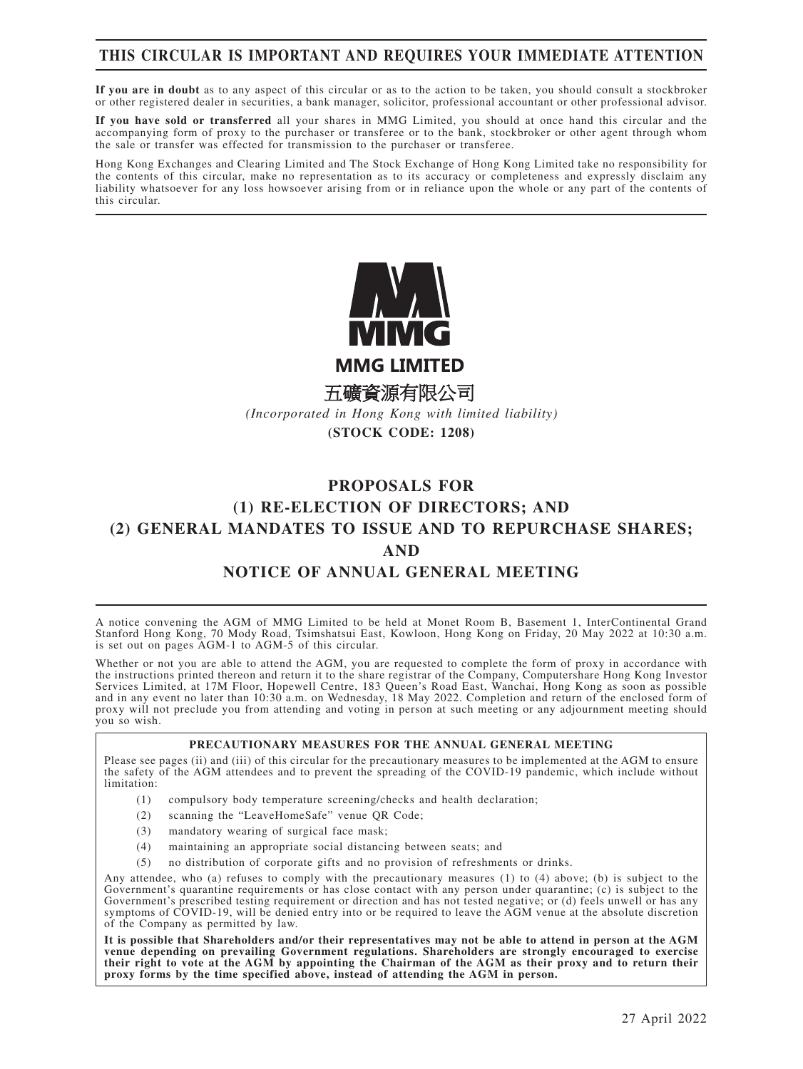# **THIS CIRCULAR IS IMPORTANT AND REQUIRES YOUR IMMEDIATE ATTENTION**

**If you are in doubt** as to any aspect of this circular or as to the action to be taken, you should consult a stockbroker or other registered dealer in securities, a bank manager, solicitor, professional accountant or other professional advisor.

**If you have sold or transferred** all your shares in MMG Limited, you should at once hand this circular and the accompanying form of proxy to the purchaser or transferee or to the bank, stockbroker or other agent through whom the sale or transfer was effected for transmission to the purchaser or transferee.

Hong Kong Exchanges and Clearing Limited and The Stock Exchange of Hong Kong Limited take no responsibility for the contents of this circular, make no representation as to its accuracy or completeness and expressly disclaim any liability whatsoever for any loss howsoever arising from or in reliance upon the whole or any part of the contents of this circular.



**MMG LIMITED** 

五礦資源有限公司

*(Incorporated in Hong Kong with limited liability)* **(STOCK CODE: 1208)**

# **PROPOSALS FOR (1) RE-ELECTION OF DIRECTORS; AND (2) GENERAL MANDATES TO ISSUE AND TO REPURCHASE SHARES; AND NOTICE OF ANNUAL GENERAL MEETING**

A notice convening the AGM of MMG Limited to be held at Monet Room B, Basement 1, InterContinental Grand Stanford Hong Kong, 70 Mody Road, Tsimshatsui East, Kowloon, Hong Kong on Friday, 20 May 2022 at 10:30 a.m. is set out on pages AGM-1 to AGM-5 of this circular.

Whether or not you are able to attend the AGM, you are requested to complete the form of proxy in accordance with the instructions printed thereon and return it to the share registrar of the Company, Computershare Hong Kong Investor Services Limited, at 17M Floor, Hopewell Centre, 183 Queen's Road East, Wanchai, Hong Kong as soon as possible and in any event no later than 10:30 a.m. on Wednesday, 18 May 2022. Completion and return of the enclosed form of proxy will not preclude you from attending and voting in person at such meeting or any adjournment meeting should you so wish.

### **PRECAUTIONARY MEASURES FOR THE ANNUAL GENERAL MEETING**

Please see pages (ii) and (iii) of this circular for the precautionary measures to be implemented at the AGM to ensure the safety of the AGM attendees and to prevent the spreading of the COVID-19 pandemic, which include without limitation:

- (1) compulsory body temperature screening/checks and health declaration;
- (2) scanning the "LeaveHomeSafe" venue QR Code;
- (3) mandatory wearing of surgical face mask;
- (4) maintaining an appropriate social distancing between seats; and
- (5) no distribution of corporate gifts and no provision of refreshments or drinks.

Any attendee, who (a) refuses to comply with the precautionary measures (1) to (4) above; (b) is subject to the Government's quarantine requirements or has close contact with any person under quarantine; (c) is subject to the Government's prescribed testing requirement or direction and has not tested negative; or (d) feels unwell or has any symptoms of COVID-19, will be denied entry into or be required to leave the AGM venue at the absolute discretion of the Company as permitted by law.

**It is possible that Shareholders and/or their representatives may not be able to attend in person at the AGM venue depending on prevailing Government regulations. Shareholders are strongly encouraged to exercise their right to vote at the AGM by appointing the Chairman of the AGM as their proxy and to return their proxy forms by the time specified above, instead of attending the AGM in person.**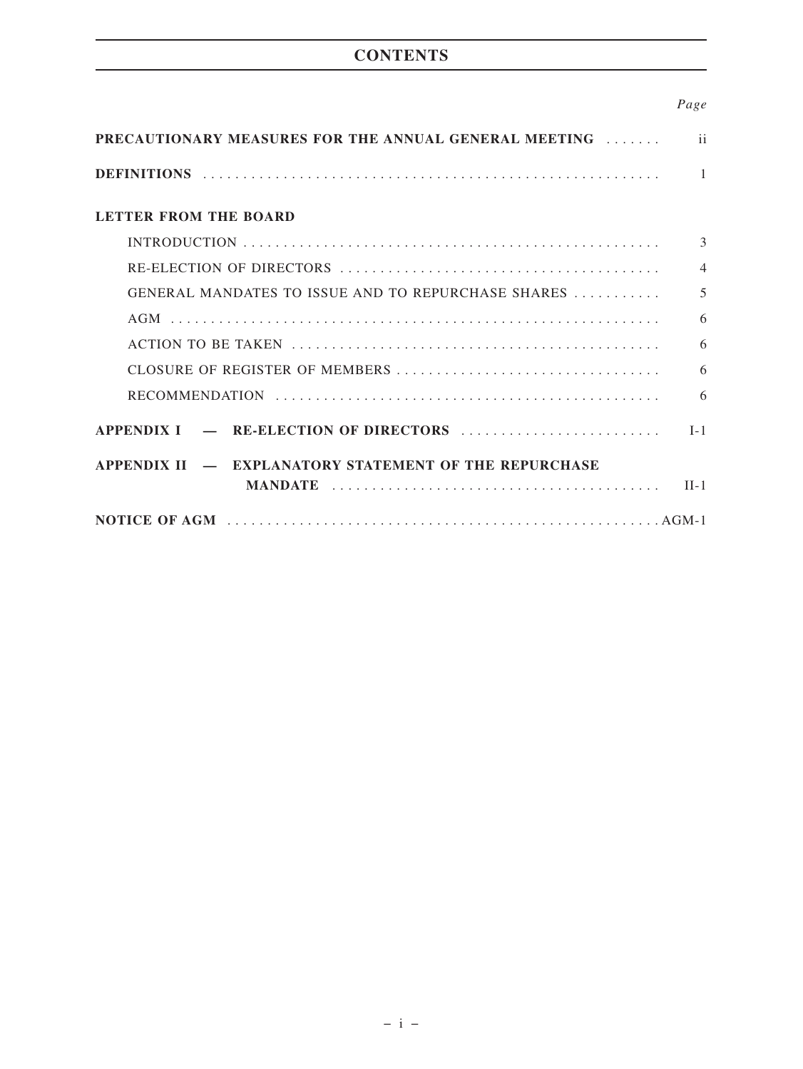# **CONTENTS**

## *Page*

| <b>PRECAUTIONARY MEASURES FOR THE ANNUAL GENERAL MEETING FOR THE ANNUAL GENERAL MEETING</b> | $\mathbf{ii}$            |
|---------------------------------------------------------------------------------------------|--------------------------|
|                                                                                             | -1                       |
| <b>LETTER FROM THE BOARD</b>                                                                |                          |
|                                                                                             | $\mathcal{E}$            |
|                                                                                             | $\overline{\mathcal{A}}$ |
| GENERAL MANDATES TO ISSUE AND TO REPURCHASE SHARES                                          | 5                        |
|                                                                                             | 6                        |
|                                                                                             | 6                        |
|                                                                                             | 6                        |
|                                                                                             | 6                        |
| APPENDIX I – RE-ELECTION OF DIRECTORS                                                       | $I-1$                    |
| APPENDIX II - EXPLANATORY STATEMENT OF THE REPURCHASE                                       |                          |
|                                                                                             |                          |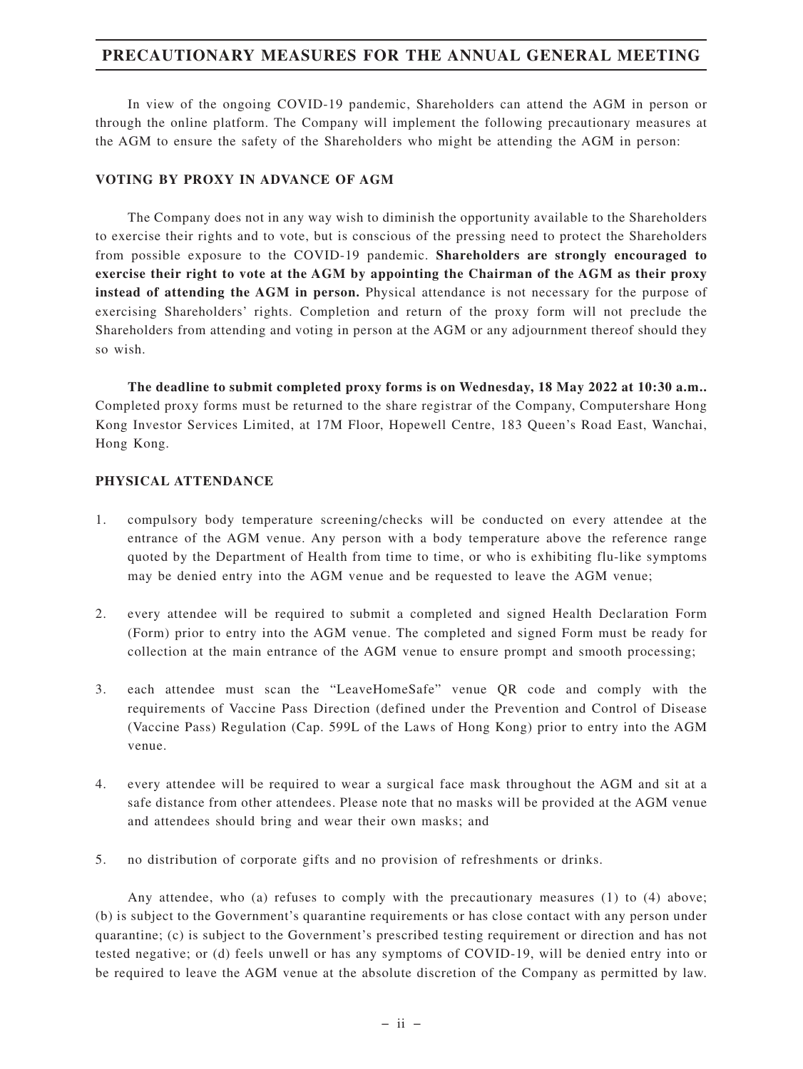# **PRECAUTIONARY MEASURES FOR THE ANNUAL GENERAL MEETING**

In view of the ongoing COVID-19 pandemic, Shareholders can attend the AGM in person or through the online platform. The Company will implement the following precautionary measures at the AGM to ensure the safety of the Shareholders who might be attending the AGM in person:

### **VOTING BY PROXY IN ADVANCE OF AGM**

The Company does not in any way wish to diminish the opportunity available to the Shareholders to exercise their rights and to vote, but is conscious of the pressing need to protect the Shareholders from possible exposure to the COVID-19 pandemic. **Shareholders are strongly encouraged to exercise their right to vote at the AGM by appointing the Chairman of the AGM as their proxy instead of attending the AGM in person.** Physical attendance is not necessary for the purpose of exercising Shareholders' rights. Completion and return of the proxy form will not preclude the Shareholders from attending and voting in person at the AGM or any adjournment thereof should they so wish.

**The deadline to submit completed proxy forms is on Wednesday, 18 May 2022 at 10:30 a.m..** Completed proxy forms must be returned to the share registrar of the Company, Computershare Hong Kong Investor Services Limited, at 17M Floor, Hopewell Centre, 183 Queen's Road East, Wanchai, Hong Kong.

### **PHYSICAL ATTENDANCE**

- 1. compulsory body temperature screening/checks will be conducted on every attendee at the entrance of the AGM venue. Any person with a body temperature above the reference range quoted by the Department of Health from time to time, or who is exhibiting flu-like symptoms may be denied entry into the AGM venue and be requested to leave the AGM venue;
- 2. every attendee will be required to submit a completed and signed Health Declaration Form (Form) prior to entry into the AGM venue. The completed and signed Form must be ready for collection at the main entrance of the AGM venue to ensure prompt and smooth processing;
- 3. each attendee must scan the "LeaveHomeSafe" venue QR code and comply with the requirements of Vaccine Pass Direction (defined under the Prevention and Control of Disease (Vaccine Pass) Regulation (Cap. 599L of the Laws of Hong Kong) prior to entry into the AGM venue.
- 4. every attendee will be required to wear a surgical face mask throughout the AGM and sit at a safe distance from other attendees. Please note that no masks will be provided at the AGM venue and attendees should bring and wear their own masks; and
- 5. no distribution of corporate gifts and no provision of refreshments or drinks.

Any attendee, who (a) refuses to comply with the precautionary measures (1) to (4) above; (b) is subject to the Government's quarantine requirements or has close contact with any person under quarantine; (c) is subject to the Government's prescribed testing requirement or direction and has not tested negative; or (d) feels unwell or has any symptoms of COVID-19, will be denied entry into or be required to leave the AGM venue at the absolute discretion of the Company as permitted by law.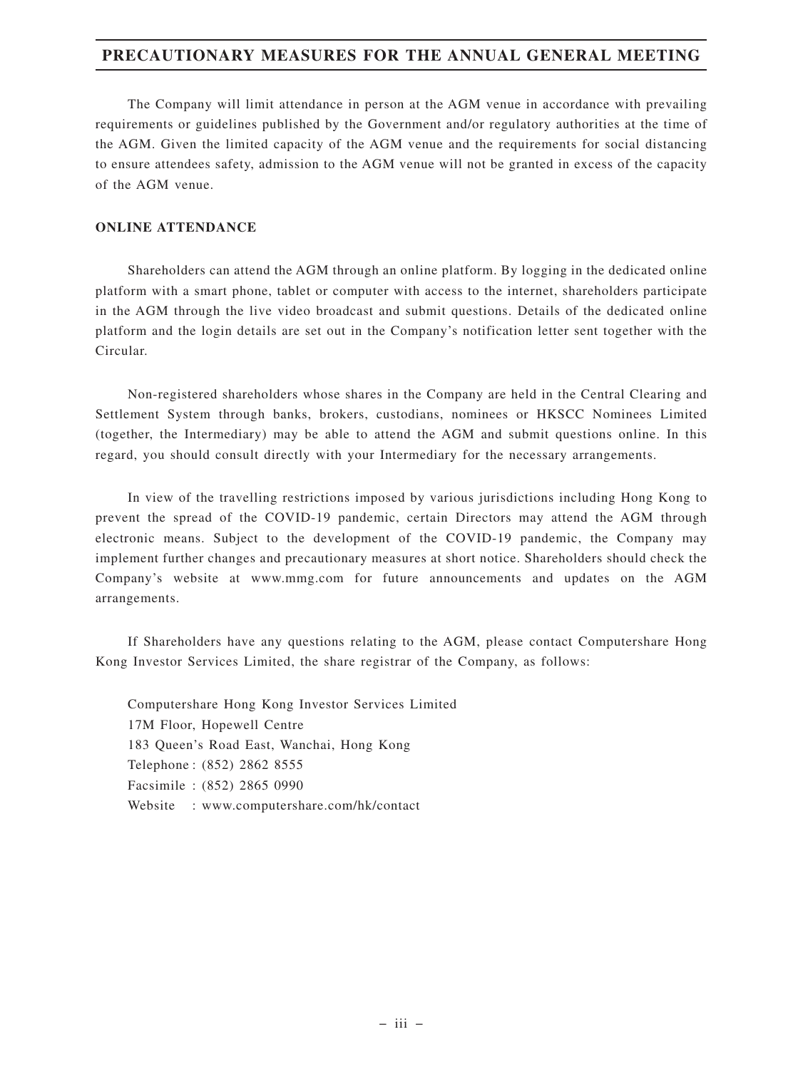# **PRECAUTIONARY MEASURES FOR THE ANNUAL GENERAL MEETING**

The Company will limit attendance in person at the AGM venue in accordance with prevailing requirements or guidelines published by the Government and/or regulatory authorities at the time of the AGM. Given the limited capacity of the AGM venue and the requirements for social distancing to ensure attendees safety, admission to the AGM venue will not be granted in excess of the capacity of the AGM venue.

### **ONLINE ATTENDANCE**

Shareholders can attend the AGM through an online platform. By logging in the dedicated online platform with a smart phone, tablet or computer with access to the internet, shareholders participate in the AGM through the live video broadcast and submit questions. Details of the dedicated online platform and the login details are set out in the Company's notification letter sent together with the Circular.

Non-registered shareholders whose shares in the Company are held in the Central Clearing and Settlement System through banks, brokers, custodians, nominees or HKSCC Nominees Limited (together, the Intermediary) may be able to attend the AGM and submit questions online. In this regard, you should consult directly with your Intermediary for the necessary arrangements.

In view of the travelling restrictions imposed by various jurisdictions including Hong Kong to prevent the spread of the COVID-19 pandemic, certain Directors may attend the AGM through electronic means. Subject to the development of the COVID-19 pandemic, the Company may implement further changes and precautionary measures at short notice. Shareholders should check the Company's website at www.mmg.com for future announcements and updates on the AGM arrangements.

If Shareholders have any questions relating to the AGM, please contact Computershare Hong Kong Investor Services Limited, the share registrar of the Company, as follows:

Computershare Hong Kong Investor Services Limited 17M Floor, Hopewell Centre 183 Queen's Road East, Wanchai, Hong Kong Telephone : (852) 2862 8555 Facsimile : (852) 2865 0990 Website : www.computershare.com/hk/contact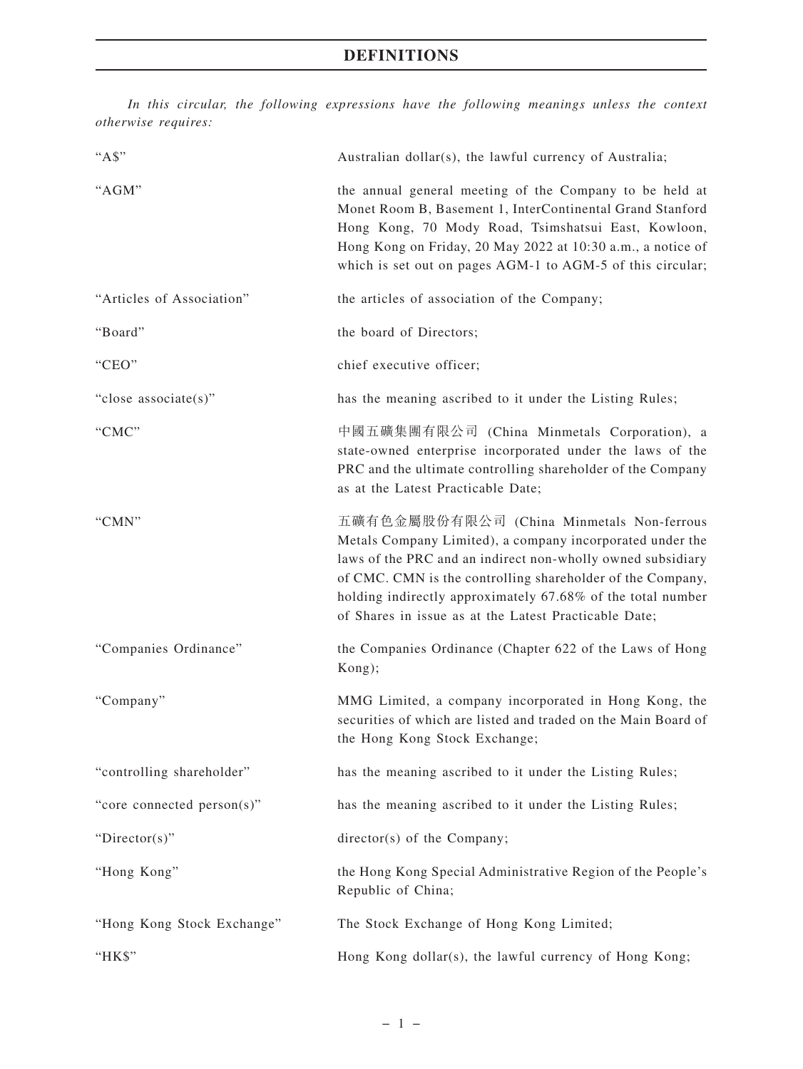*In this circular, the following expressions have the following meanings unless the context otherwise requires:*

| "As"                       | Australian dollar(s), the lawful currency of Australia;                                                                                                                                                                                                                                                                                                     |
|----------------------------|-------------------------------------------------------------------------------------------------------------------------------------------------------------------------------------------------------------------------------------------------------------------------------------------------------------------------------------------------------------|
| "AGM"                      | the annual general meeting of the Company to be held at<br>Monet Room B, Basement 1, InterContinental Grand Stanford<br>Hong Kong, 70 Mody Road, Tsimshatsui East, Kowloon,<br>Hong Kong on Friday, 20 May 2022 at 10:30 a.m., a notice of<br>which is set out on pages AGM-1 to AGM-5 of this circular;                                                    |
| "Articles of Association"  | the articles of association of the Company;                                                                                                                                                                                                                                                                                                                 |
| "Board"                    | the board of Directors;                                                                                                                                                                                                                                                                                                                                     |
| "CEO"                      | chief executive officer;                                                                                                                                                                                                                                                                                                                                    |
| "close associate(s)"       | has the meaning ascribed to it under the Listing Rules;                                                                                                                                                                                                                                                                                                     |
| "CMC"                      | 中國五礦集團有限公司 (China Minmetals Corporation), a<br>state-owned enterprise incorporated under the laws of the<br>PRC and the ultimate controlling shareholder of the Company<br>as at the Latest Practicable Date;                                                                                                                                               |
| "CMN"                      | 五礦有色金屬股份有限公司 (China Minmetals Non-ferrous<br>Metals Company Limited), a company incorporated under the<br>laws of the PRC and an indirect non-wholly owned subsidiary<br>of CMC. CMN is the controlling shareholder of the Company,<br>holding indirectly approximately 67.68% of the total number<br>of Shares in issue as at the Latest Practicable Date; |
| "Companies Ordinance"      | the Companies Ordinance (Chapter 622 of the Laws of Hong<br>Kong);                                                                                                                                                                                                                                                                                          |
| "Company"                  | MMG Limited, a company incorporated in Hong Kong, the<br>securities of which are listed and traded on the Main Board of<br>the Hong Kong Stock Exchange;                                                                                                                                                                                                    |
| "controlling shareholder"  | has the meaning ascribed to it under the Listing Rules;                                                                                                                                                                                                                                                                                                     |
| "core connected person(s)" | has the meaning ascribed to it under the Listing Rules;                                                                                                                                                                                                                                                                                                     |
| "Director(s)"              | director(s) of the Company;                                                                                                                                                                                                                                                                                                                                 |
| "Hong Kong"                | the Hong Kong Special Administrative Region of the People's<br>Republic of China;                                                                                                                                                                                                                                                                           |
| "Hong Kong Stock Exchange" | The Stock Exchange of Hong Kong Limited;                                                                                                                                                                                                                                                                                                                    |
| "HK\$"                     | Hong Kong dollar(s), the lawful currency of Hong Kong;                                                                                                                                                                                                                                                                                                      |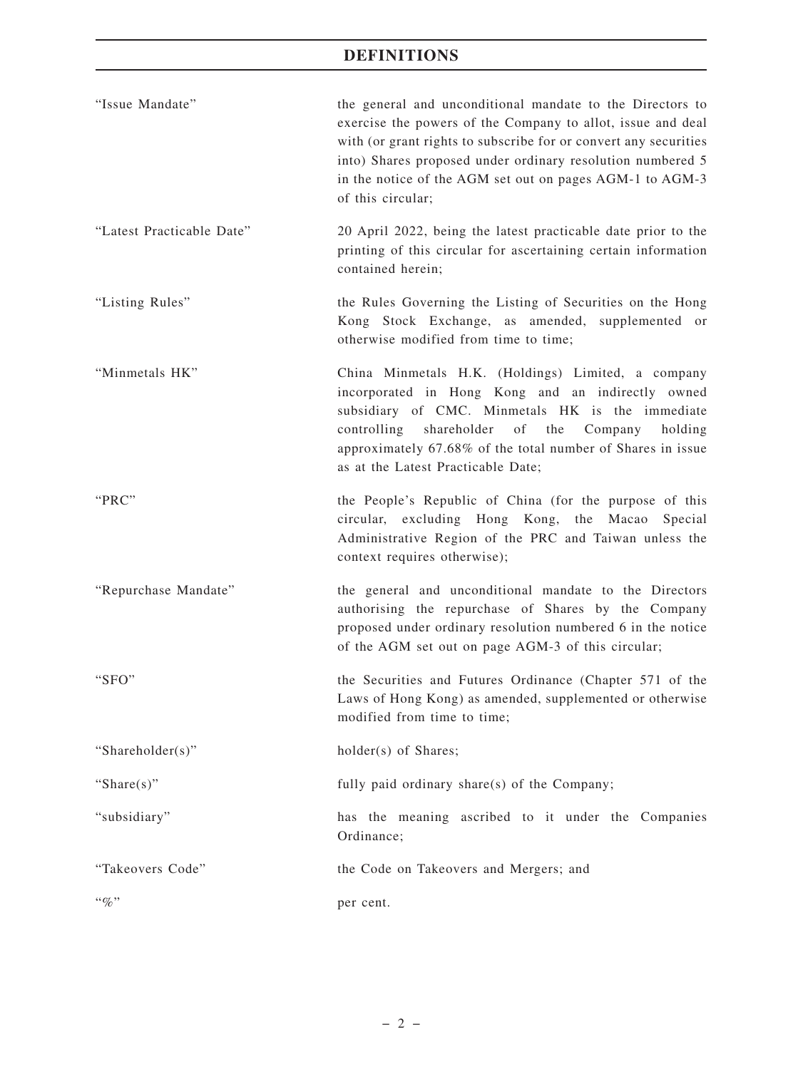# **DEFINITIONS**

| "Issue Mandate"           | the general and unconditional mandate to the Directors to<br>exercise the powers of the Company to allot, issue and deal<br>with (or grant rights to subscribe for or convert any securities<br>into) Shares proposed under ordinary resolution numbered 5<br>in the notice of the AGM set out on pages AGM-1 to AGM-3<br>of this circular; |
|---------------------------|---------------------------------------------------------------------------------------------------------------------------------------------------------------------------------------------------------------------------------------------------------------------------------------------------------------------------------------------|
| "Latest Practicable Date" | 20 April 2022, being the latest practicable date prior to the<br>printing of this circular for ascertaining certain information<br>contained herein;                                                                                                                                                                                        |
| "Listing Rules"           | the Rules Governing the Listing of Securities on the Hong<br>Kong Stock Exchange, as amended, supplemented or<br>otherwise modified from time to time;                                                                                                                                                                                      |
| "Minmetals HK"            | China Minmetals H.K. (Holdings) Limited, a company<br>incorporated in Hong Kong and an indirectly owned<br>subsidiary of CMC. Minmetals HK is the immediate<br>of<br>the<br>controlling shareholder<br>Company<br>holding<br>approximately 67.68% of the total number of Shares in issue<br>as at the Latest Practicable Date;              |
| "PRC"                     | the People's Republic of China (for the purpose of this<br>circular, excluding Hong Kong, the Macao<br>Special<br>Administrative Region of the PRC and Taiwan unless the<br>context requires otherwise);                                                                                                                                    |
| "Repurchase Mandate"      | the general and unconditional mandate to the Directors<br>authorising the repurchase of Shares by the Company<br>proposed under ordinary resolution numbered 6 in the notice<br>of the AGM set out on page AGM-3 of this circular;                                                                                                          |
| " $SFO"$                  | the Securities and Futures Ordinance (Chapter 571 of the<br>Laws of Hong Kong) as amended, supplemented or otherwise<br>modified from time to time;                                                                                                                                                                                         |
| "Shareholder(s)"          | holder(s) of Shares;                                                                                                                                                                                                                                                                                                                        |
| "Share $(s)$ "            | fully paid ordinary share(s) of the Company;                                                                                                                                                                                                                                                                                                |
| "subsidiary"              | has the meaning ascribed to it under the Companies<br>Ordinance;                                                                                                                                                                                                                                                                            |
| "Takeovers Code"          | the Code on Takeovers and Mergers; and                                                                                                                                                                                                                                                                                                      |
| $``q_0"$                  | per cent.                                                                                                                                                                                                                                                                                                                                   |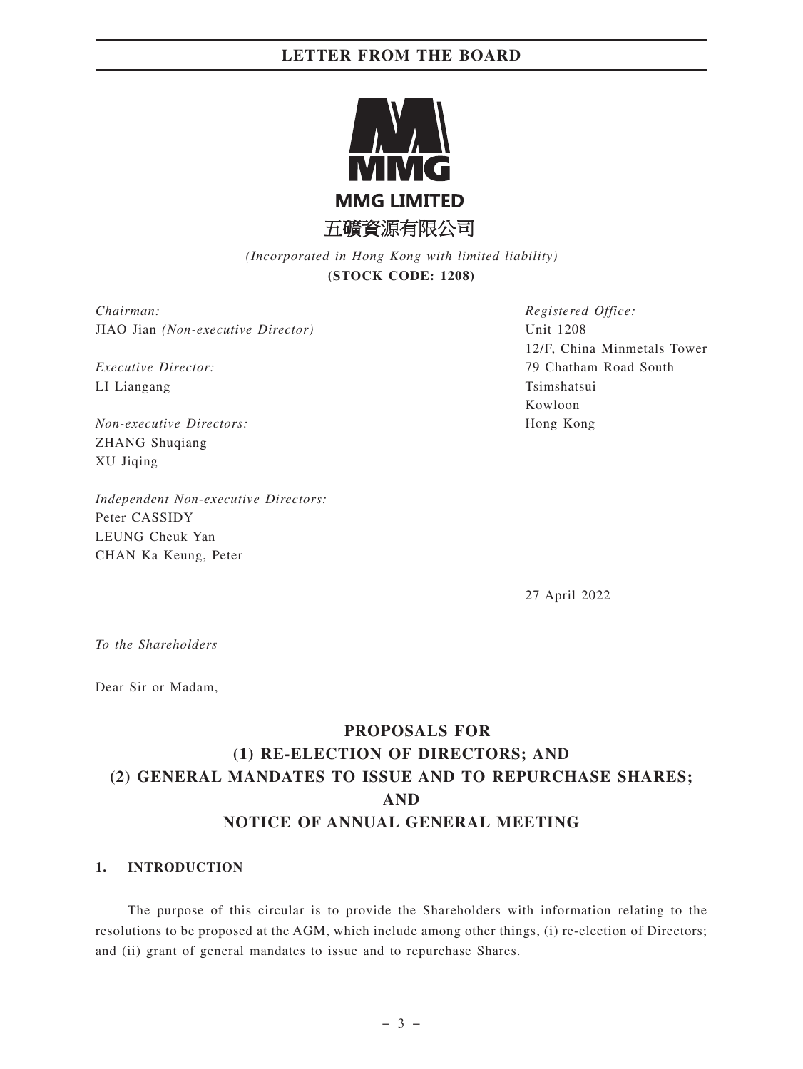

*(Incorporated in Hong Kong with limited liability)* **(STOCK CODE: 1208)**

*Chairman:* JIAO Jian *(Non-executive Director)*

*Executive Director:* LI Liangang

*Non-executive Directors:* ZHANG Shuqiang XU Jiqing

*Independent Non-executive Directors:* Peter CASSIDY LEUNG Cheuk Yan CHAN Ka Keung, Peter

*Registered Office:* Unit 1208 12/F, China Minmetals Tower 79 Chatham Road South Tsimshatsui Kowloon Hong Kong

27 April 2022

*To the Shareholders*

Dear Sir or Madam,

# **PROPOSALS FOR (1) RE-ELECTION OF DIRECTORS; AND (2) GENERAL MANDATES TO ISSUE AND TO REPURCHASE SHARES; AND NOTICE OF ANNUAL GENERAL MEETING**

### **1. INTRODUCTION**

The purpose of this circular is to provide the Shareholders with information relating to the resolutions to be proposed at the AGM, which include among other things, (i) re-election of Directors; and (ii) grant of general mandates to issue and to repurchase Shares.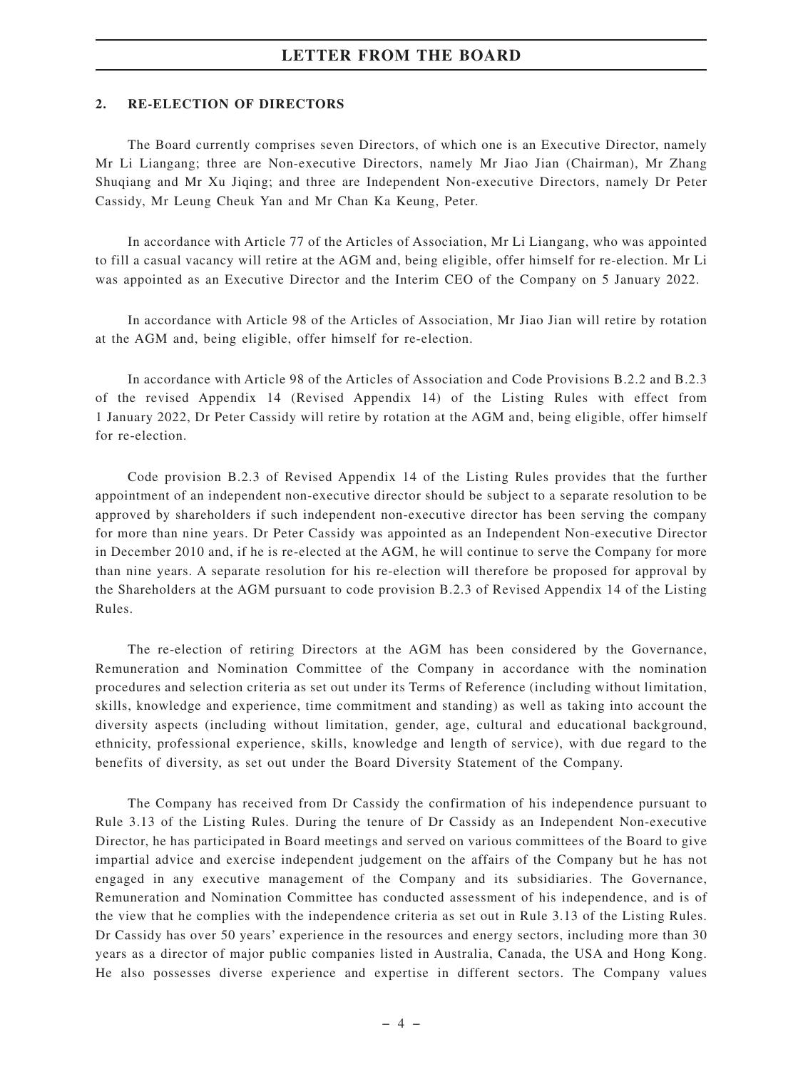### **2. RE-ELECTION OF DIRECTORS**

The Board currently comprises seven Directors, of which one is an Executive Director, namely Mr Li Liangang; three are Non-executive Directors, namely Mr Jiao Jian (Chairman), Mr Zhang Shuqiang and Mr Xu Jiqing; and three are Independent Non-executive Directors, namely Dr Peter Cassidy, Mr Leung Cheuk Yan and Mr Chan Ka Keung, Peter.

In accordance with Article 77 of the Articles of Association, Mr Li Liangang, who was appointed to fill a casual vacancy will retire at the AGM and, being eligible, offer himself for re-election. Mr Li was appointed as an Executive Director and the Interim CEO of the Company on 5 January 2022.

In accordance with Article 98 of the Articles of Association, Mr Jiao Jian will retire by rotation at the AGM and, being eligible, offer himself for re-election.

In accordance with Article 98 of the Articles of Association and Code Provisions B.2.2 and B.2.3 of the revised Appendix 14 (Revised Appendix 14) of the Listing Rules with effect from 1 January 2022, Dr Peter Cassidy will retire by rotation at the AGM and, being eligible, offer himself for re-election.

Code provision B.2.3 of Revised Appendix 14 of the Listing Rules provides that the further appointment of an independent non-executive director should be subject to a separate resolution to be approved by shareholders if such independent non-executive director has been serving the company for more than nine years. Dr Peter Cassidy was appointed as an Independent Non-executive Director in December 2010 and, if he is re-elected at the AGM, he will continue to serve the Company for more than nine years. A separate resolution for his re-election will therefore be proposed for approval by the Shareholders at the AGM pursuant to code provision B.2.3 of Revised Appendix 14 of the Listing Rules.

The re-election of retiring Directors at the AGM has been considered by the Governance, Remuneration and Nomination Committee of the Company in accordance with the nomination procedures and selection criteria as set out under its Terms of Reference (including without limitation, skills, knowledge and experience, time commitment and standing) as well as taking into account the diversity aspects (including without limitation, gender, age, cultural and educational background, ethnicity, professional experience, skills, knowledge and length of service), with due regard to the benefits of diversity, as set out under the Board Diversity Statement of the Company.

The Company has received from Dr Cassidy the confirmation of his independence pursuant to Rule 3.13 of the Listing Rules. During the tenure of Dr Cassidy as an Independent Non-executive Director, he has participated in Board meetings and served on various committees of the Board to give impartial advice and exercise independent judgement on the affairs of the Company but he has not engaged in any executive management of the Company and its subsidiaries. The Governance, Remuneration and Nomination Committee has conducted assessment of his independence, and is of the view that he complies with the independence criteria as set out in Rule 3.13 of the Listing Rules. Dr Cassidy has over 50 years' experience in the resources and energy sectors, including more than 30 years as a director of major public companies listed in Australia, Canada, the USA and Hong Kong. He also possesses diverse experience and expertise in different sectors. The Company values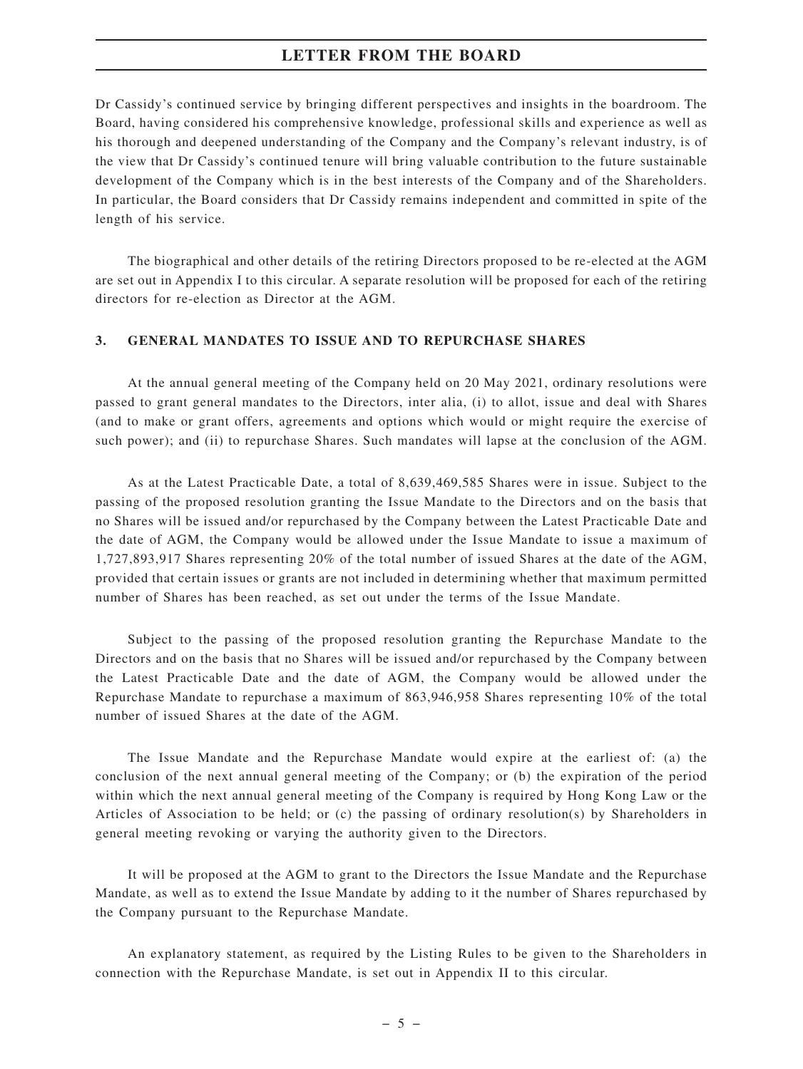Dr Cassidy's continued service by bringing different perspectives and insights in the boardroom. The Board, having considered his comprehensive knowledge, professional skills and experience as well as his thorough and deepened understanding of the Company and the Company's relevant industry, is of the view that Dr Cassidy's continued tenure will bring valuable contribution to the future sustainable development of the Company which is in the best interests of the Company and of the Shareholders. In particular, the Board considers that Dr Cassidy remains independent and committed in spite of the length of his service.

The biographical and other details of the retiring Directors proposed to be re-elected at the AGM are set out in Appendix I to this circular. A separate resolution will be proposed for each of the retiring directors for re-election as Director at the AGM.

### **3. GENERAL MANDATES TO ISSUE AND TO REPURCHASE SHARES**

At the annual general meeting of the Company held on 20 May 2021, ordinary resolutions were passed to grant general mandates to the Directors, inter alia, (i) to allot, issue and deal with Shares (and to make or grant offers, agreements and options which would or might require the exercise of such power); and (ii) to repurchase Shares. Such mandates will lapse at the conclusion of the AGM.

As at the Latest Practicable Date, a total of 8,639,469,585 Shares were in issue. Subject to the passing of the proposed resolution granting the Issue Mandate to the Directors and on the basis that no Shares will be issued and/or repurchased by the Company between the Latest Practicable Date and the date of AGM, the Company would be allowed under the Issue Mandate to issue a maximum of 1,727,893,917 Shares representing 20% of the total number of issued Shares at the date of the AGM, provided that certain issues or grants are not included in determining whether that maximum permitted number of Shares has been reached, as set out under the terms of the Issue Mandate.

Subject to the passing of the proposed resolution granting the Repurchase Mandate to the Directors and on the basis that no Shares will be issued and/or repurchased by the Company between the Latest Practicable Date and the date of AGM, the Company would be allowed under the Repurchase Mandate to repurchase a maximum of 863,946,958 Shares representing 10% of the total number of issued Shares at the date of the AGM.

The Issue Mandate and the Repurchase Mandate would expire at the earliest of: (a) the conclusion of the next annual general meeting of the Company; or (b) the expiration of the period within which the next annual general meeting of the Company is required by Hong Kong Law or the Articles of Association to be held; or (c) the passing of ordinary resolution(s) by Shareholders in general meeting revoking or varying the authority given to the Directors.

It will be proposed at the AGM to grant to the Directors the Issue Mandate and the Repurchase Mandate, as well as to extend the Issue Mandate by adding to it the number of Shares repurchased by the Company pursuant to the Repurchase Mandate.

An explanatory statement, as required by the Listing Rules to be given to the Shareholders in connection with the Repurchase Mandate, is set out in Appendix II to this circular.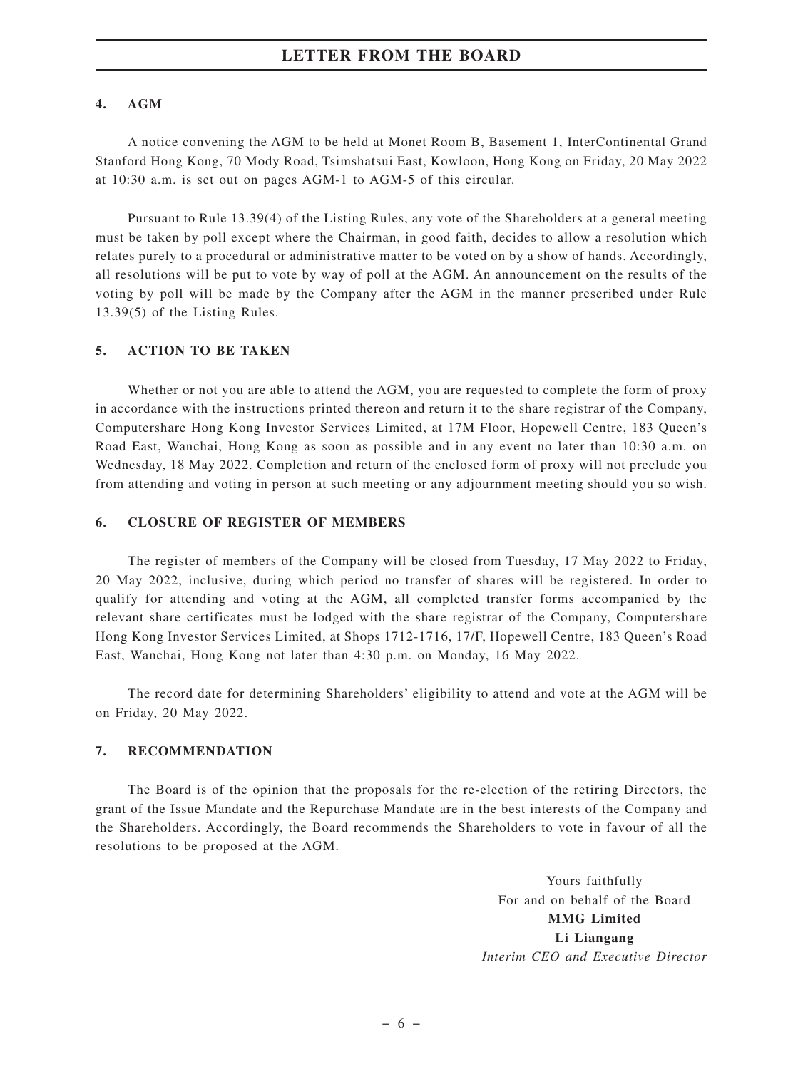### **4. AGM**

A notice convening the AGM to be held at Monet Room B, Basement 1, InterContinental Grand Stanford Hong Kong, 70 Mody Road, Tsimshatsui East, Kowloon, Hong Kong on Friday, 20 May 2022 at 10:30 a.m. is set out on pages AGM-1 to AGM-5 of this circular.

Pursuant to Rule 13.39(4) of the Listing Rules, any vote of the Shareholders at a general meeting must be taken by poll except where the Chairman, in good faith, decides to allow a resolution which relates purely to a procedural or administrative matter to be voted on by a show of hands. Accordingly, all resolutions will be put to vote by way of poll at the AGM. An announcement on the results of the voting by poll will be made by the Company after the AGM in the manner prescribed under Rule 13.39(5) of the Listing Rules.

### **5. ACTION TO BE TAKEN**

Whether or not you are able to attend the AGM, you are requested to complete the form of proxy in accordance with the instructions printed thereon and return it to the share registrar of the Company, Computershare Hong Kong Investor Services Limited, at 17M Floor, Hopewell Centre, 183 Queen's Road East, Wanchai, Hong Kong as soon as possible and in any event no later than 10:30 a.m. on Wednesday, 18 May 2022. Completion and return of the enclosed form of proxy will not preclude you from attending and voting in person at such meeting or any adjournment meeting should you so wish.

### **6. CLOSURE OF REGISTER OF MEMBERS**

The register of members of the Company will be closed from Tuesday, 17 May 2022 to Friday, 20 May 2022, inclusive, during which period no transfer of shares will be registered. In order to qualify for attending and voting at the AGM, all completed transfer forms accompanied by the relevant share certificates must be lodged with the share registrar of the Company, Computershare Hong Kong Investor Services Limited, at Shops 1712-1716, 17/F, Hopewell Centre, 183 Queen's Road East, Wanchai, Hong Kong not later than 4:30 p.m. on Monday, 16 May 2022.

The record date for determining Shareholders' eligibility to attend and vote at the AGM will be on Friday, 20 May 2022.

### **7. RECOMMENDATION**

The Board is of the opinion that the proposals for the re-election of the retiring Directors, the grant of the Issue Mandate and the Repurchase Mandate are in the best interests of the Company and the Shareholders. Accordingly, the Board recommends the Shareholders to vote in favour of all the resolutions to be proposed at the AGM.

> Yours faithfully For and on behalf of the Board **MMG Limited Li Liangang** *Interim CEO and Executive Director*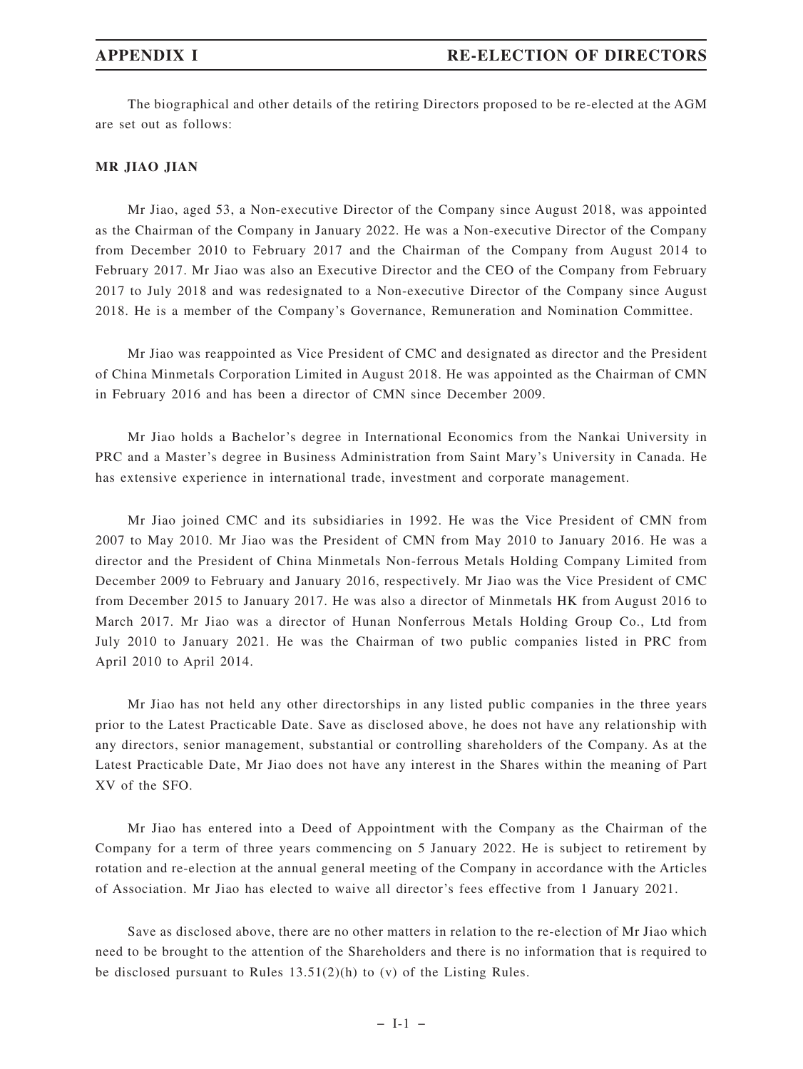The biographical and other details of the retiring Directors proposed to be re-elected at the AGM are set out as follows:

### **MR JIAO JIAN**

Mr Jiao, aged 53, a Non-executive Director of the Company since August 2018, was appointed as the Chairman of the Company in January 2022. He was a Non-executive Director of the Company from December 2010 to February 2017 and the Chairman of the Company from August 2014 to February 2017. Mr Jiao was also an Executive Director and the CEO of the Company from February 2017 to July 2018 and was redesignated to a Non-executive Director of the Company since August 2018. He is a member of the Company's Governance, Remuneration and Nomination Committee.

Mr Jiao was reappointed as Vice President of CMC and designated as director and the President of China Minmetals Corporation Limited in August 2018. He was appointed as the Chairman of CMN in February 2016 and has been a director of CMN since December 2009.

Mr Jiao holds a Bachelor's degree in International Economics from the Nankai University in PRC and a Master's degree in Business Administration from Saint Mary's University in Canada. He has extensive experience in international trade, investment and corporate management.

Mr Jiao joined CMC and its subsidiaries in 1992. He was the Vice President of CMN from 2007 to May 2010. Mr Jiao was the President of CMN from May 2010 to January 2016. He was a director and the President of China Minmetals Non-ferrous Metals Holding Company Limited from December 2009 to February and January 2016, respectively. Mr Jiao was the Vice President of CMC from December 2015 to January 2017. He was also a director of Minmetals HK from August 2016 to March 2017. Mr Jiao was a director of Hunan Nonferrous Metals Holding Group Co., Ltd from July 2010 to January 2021. He was the Chairman of two public companies listed in PRC from April 2010 to April 2014.

Mr Jiao has not held any other directorships in any listed public companies in the three years prior to the Latest Practicable Date. Save as disclosed above, he does not have any relationship with any directors, senior management, substantial or controlling shareholders of the Company. As at the Latest Practicable Date, Mr Jiao does not have any interest in the Shares within the meaning of Part XV of the SFO.

Mr Jiao has entered into a Deed of Appointment with the Company as the Chairman of the Company for a term of three years commencing on 5 January 2022. He is subject to retirement by rotation and re-election at the annual general meeting of the Company in accordance with the Articles of Association. Mr Jiao has elected to waive all director's fees effective from 1 January 2021.

Save as disclosed above, there are no other matters in relation to the re-election of Mr Jiao which need to be brought to the attention of the Shareholders and there is no information that is required to be disclosed pursuant to Rules 13.51(2)(h) to (v) of the Listing Rules.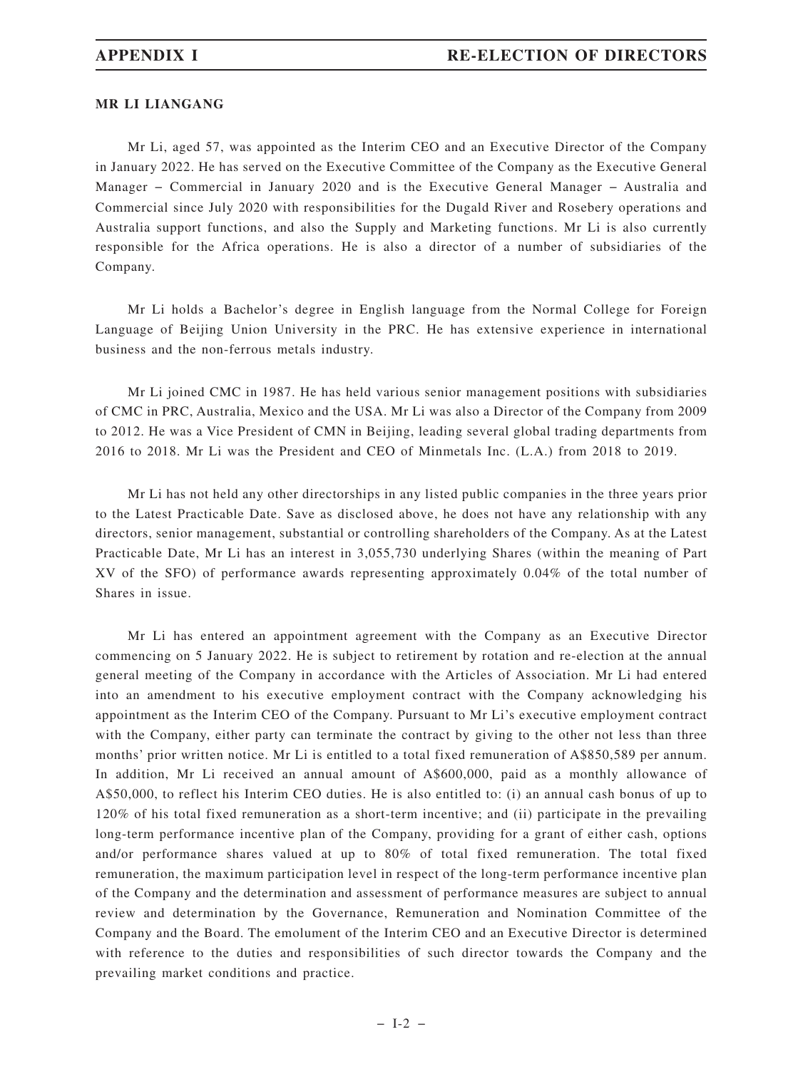### **MR LI LIANGANG**

Mr Li, aged 57, was appointed as the Interim CEO and an Executive Director of the Company in January 2022. He has served on the Executive Committee of the Company as the Executive General Manager − Commercial in January 2020 and is the Executive General Manager − Australia and Commercial since July 2020 with responsibilities for the Dugald River and Rosebery operations and Australia support functions, and also the Supply and Marketing functions. Mr Li is also currently responsible for the Africa operations. He is also a director of a number of subsidiaries of the Company.

Mr Li holds a Bachelor's degree in English language from the Normal College for Foreign Language of Beijing Union University in the PRC. He has extensive experience in international business and the non-ferrous metals industry.

Mr Li joined CMC in 1987. He has held various senior management positions with subsidiaries of CMC in PRC, Australia, Mexico and the USA. Mr Li was also a Director of the Company from 2009 to 2012. He was a Vice President of CMN in Beijing, leading several global trading departments from 2016 to 2018. Mr Li was the President and CEO of Minmetals Inc. (L.A.) from 2018 to 2019.

Mr Li has not held any other directorships in any listed public companies in the three years prior to the Latest Practicable Date. Save as disclosed above, he does not have any relationship with any directors, senior management, substantial or controlling shareholders of the Company. As at the Latest Practicable Date, Mr Li has an interest in 3,055,730 underlying Shares (within the meaning of Part XV of the SFO) of performance awards representing approximately 0.04% of the total number of Shares in issue.

Mr Li has entered an appointment agreement with the Company as an Executive Director commencing on 5 January 2022. He is subject to retirement by rotation and re-election at the annual general meeting of the Company in accordance with the Articles of Association. Mr Li had entered into an amendment to his executive employment contract with the Company acknowledging his appointment as the Interim CEO of the Company. Pursuant to Mr Li's executive employment contract with the Company, either party can terminate the contract by giving to the other not less than three months' prior written notice. Mr Li is entitled to a total fixed remuneration of A\$850,589 per annum. In addition, Mr Li received an annual amount of A\$600,000, paid as a monthly allowance of A\$50,000, to reflect his Interim CEO duties. He is also entitled to: (i) an annual cash bonus of up to 120% of his total fixed remuneration as a short-term incentive; and (ii) participate in the prevailing long-term performance incentive plan of the Company, providing for a grant of either cash, options and/or performance shares valued at up to 80% of total fixed remuneration. The total fixed remuneration, the maximum participation level in respect of the long-term performance incentive plan of the Company and the determination and assessment of performance measures are subject to annual review and determination by the Governance, Remuneration and Nomination Committee of the Company and the Board. The emolument of the Interim CEO and an Executive Director is determined with reference to the duties and responsibilities of such director towards the Company and the prevailing market conditions and practice.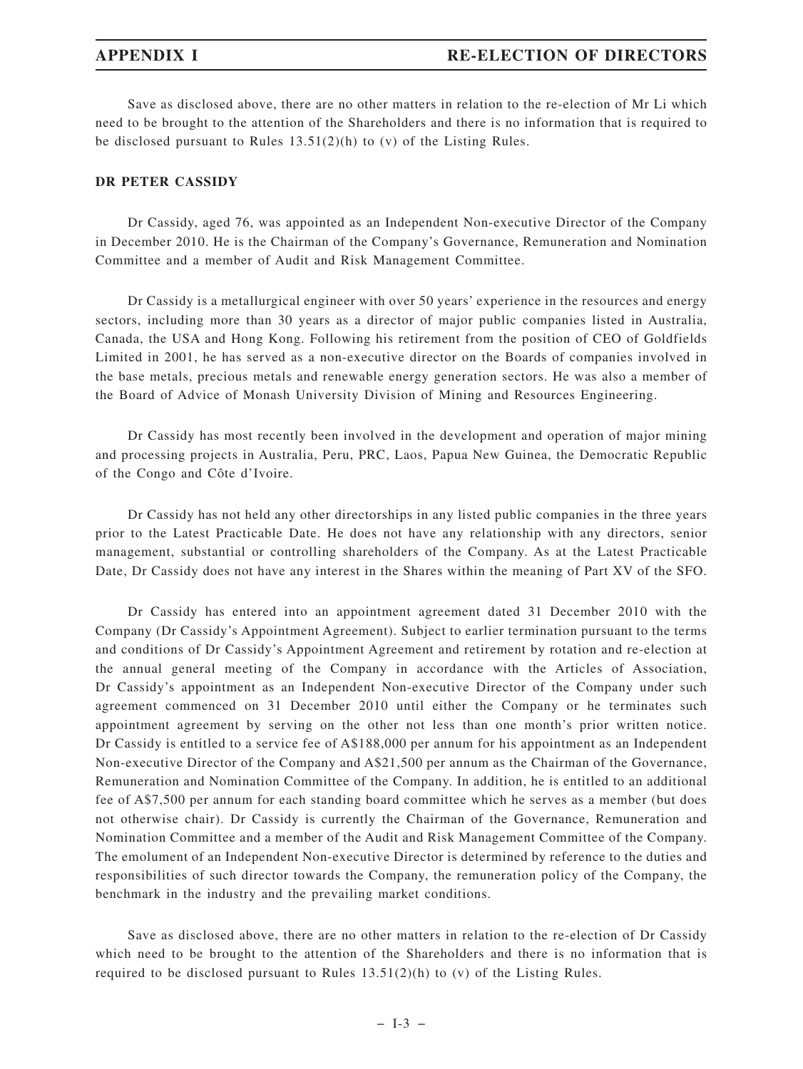Save as disclosed above, there are no other matters in relation to the re-election of Mr Li which need to be brought to the attention of the Shareholders and there is no information that is required to be disclosed pursuant to Rules 13.51(2)(h) to (v) of the Listing Rules.

### **DR PETER CASSIDY**

Dr Cassidy, aged 76, was appointed as an Independent Non-executive Director of the Company in December 2010. He is the Chairman of the Company's Governance, Remuneration and Nomination Committee and a member of Audit and Risk Management Committee.

Dr Cassidy is a metallurgical engineer with over 50 years' experience in the resources and energy sectors, including more than 30 years as a director of major public companies listed in Australia, Canada, the USA and Hong Kong. Following his retirement from the position of CEO of Goldfields Limited in 2001, he has served as a non-executive director on the Boards of companies involved in the base metals, precious metals and renewable energy generation sectors. He was also a member of the Board of Advice of Monash University Division of Mining and Resources Engineering.

Dr Cassidy has most recently been involved in the development and operation of major mining and processing projects in Australia, Peru, PRC, Laos, Papua New Guinea, the Democratic Republic of the Congo and Côte d'Ivoire.

Dr Cassidy has not held any other directorships in any listed public companies in the three years prior to the Latest Practicable Date. He does not have any relationship with any directors, senior management, substantial or controlling shareholders of the Company. As at the Latest Practicable Date, Dr Cassidy does not have any interest in the Shares within the meaning of Part XV of the SFO.

Dr Cassidy has entered into an appointment agreement dated 31 December 2010 with the Company (Dr Cassidy's Appointment Agreement). Subject to earlier termination pursuant to the terms and conditions of Dr Cassidy's Appointment Agreement and retirement by rotation and re-election at the annual general meeting of the Company in accordance with the Articles of Association, Dr Cassidy's appointment as an Independent Non-executive Director of the Company under such agreement commenced on 31 December 2010 until either the Company or he terminates such appointment agreement by serving on the other not less than one month's prior written notice. Dr Cassidy is entitled to a service fee of A\$188,000 per annum for his appointment as an Independent Non-executive Director of the Company and A\$21,500 per annum as the Chairman of the Governance, Remuneration and Nomination Committee of the Company. In addition, he is entitled to an additional fee of A\$7,500 per annum for each standing board committee which he serves as a member (but does not otherwise chair). Dr Cassidy is currently the Chairman of the Governance, Remuneration and Nomination Committee and a member of the Audit and Risk Management Committee of the Company. The emolument of an Independent Non-executive Director is determined by reference to the duties and responsibilities of such director towards the Company, the remuneration policy of the Company, the benchmark in the industry and the prevailing market conditions.

Save as disclosed above, there are no other matters in relation to the re-election of Dr Cassidy which need to be brought to the attention of the Shareholders and there is no information that is required to be disclosed pursuant to Rules  $13.51(2)(h)$  to (v) of the Listing Rules.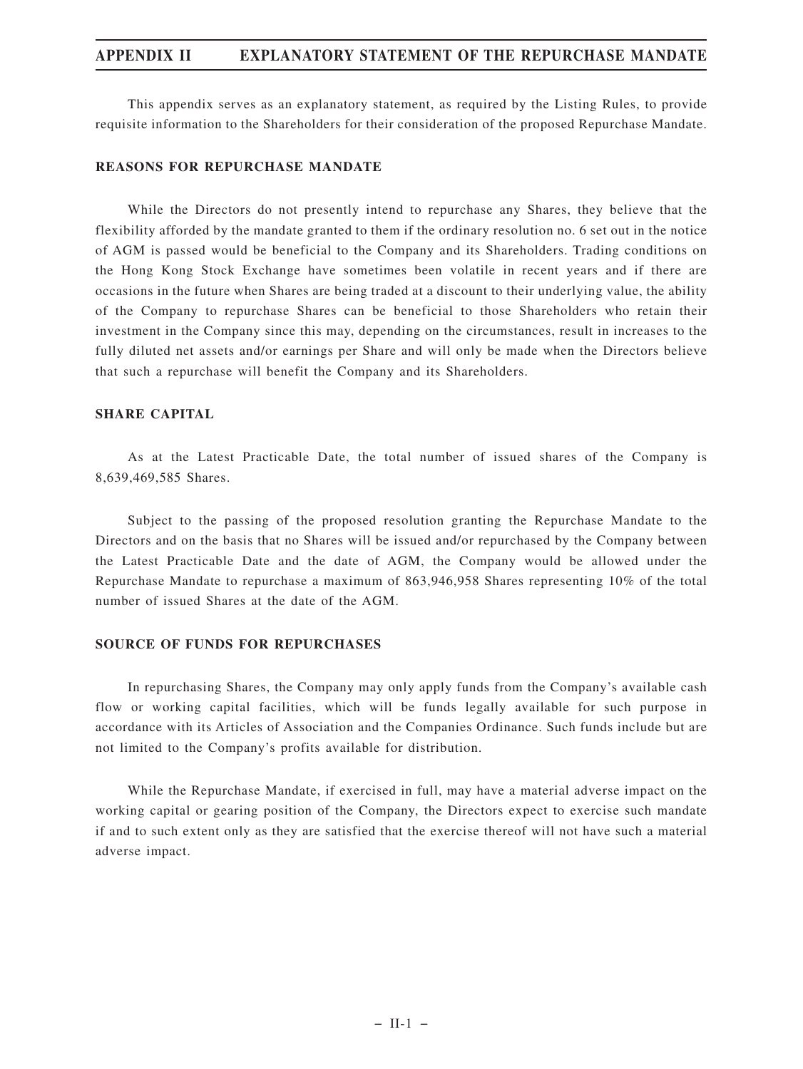## **APPENDIX II EXPLANATORY STATEMENT OF THE REPURCHASE MANDATE**

This appendix serves as an explanatory statement, as required by the Listing Rules, to provide requisite information to the Shareholders for their consideration of the proposed Repurchase Mandate.

### **REASONS FOR REPURCHASE MANDATE**

While the Directors do not presently intend to repurchase any Shares, they believe that the flexibility afforded by the mandate granted to them if the ordinary resolution no. 6 set out in the notice of AGM is passed would be beneficial to the Company and its Shareholders. Trading conditions on the Hong Kong Stock Exchange have sometimes been volatile in recent years and if there are occasions in the future when Shares are being traded at a discount to their underlying value, the ability of the Company to repurchase Shares can be beneficial to those Shareholders who retain their investment in the Company since this may, depending on the circumstances, result in increases to the fully diluted net assets and/or earnings per Share and will only be made when the Directors believe that such a repurchase will benefit the Company and its Shareholders.

### **SHARE CAPITAL**

As at the Latest Practicable Date, the total number of issued shares of the Company is 8,639,469,585 Shares.

Subject to the passing of the proposed resolution granting the Repurchase Mandate to the Directors and on the basis that no Shares will be issued and/or repurchased by the Company between the Latest Practicable Date and the date of AGM, the Company would be allowed under the Repurchase Mandate to repurchase a maximum of 863,946,958 Shares representing 10% of the total number of issued Shares at the date of the AGM.

### **SOURCE OF FUNDS FOR REPURCHASES**

In repurchasing Shares, the Company may only apply funds from the Company's available cash flow or working capital facilities, which will be funds legally available for such purpose in accordance with its Articles of Association and the Companies Ordinance. Such funds include but are not limited to the Company's profits available for distribution.

While the Repurchase Mandate, if exercised in full, may have a material adverse impact on the working capital or gearing position of the Company, the Directors expect to exercise such mandate if and to such extent only as they are satisfied that the exercise thereof will not have such a material adverse impact.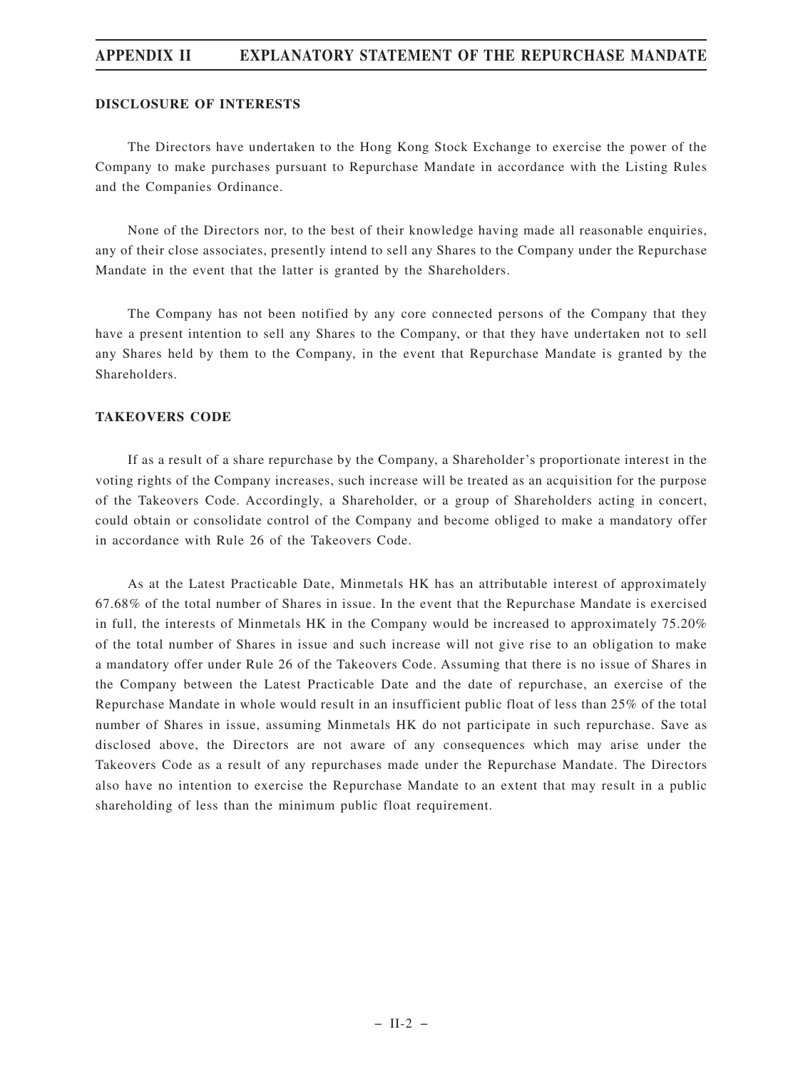# **APPENDIX II EXPLANATORY STATEMENT OF THE REPURCHASE MANDATE**

### **DISCLOSURE OF INTERESTS**

The Directors have undertaken to the Hong Kong Stock Exchange to exercise the power of the Company to make purchases pursuant to Repurchase Mandate in accordance with the Listing Rules and the Companies Ordinance.

None of the Directors nor, to the best of their knowledge having made all reasonable enquiries, any of their close associates, presently intend to sell any Shares to the Company under the Repurchase Mandate in the event that the latter is granted by the Shareholders.

The Company has not been notified by any core connected persons of the Company that they have a present intention to sell any Shares to the Company, or that they have undertaken not to sell any Shares held by them to the Company, in the event that Repurchase Mandate is granted by the Shareholders.

### **TAKEOVERS CODE**

If as a result of a share repurchase by the Company, a Shareholder's proportionate interest in the voting rights of the Company increases, such increase will be treated as an acquisition for the purpose of the Takeovers Code. Accordingly, a Shareholder, or a group of Shareholders acting in concert, could obtain or consolidate control of the Company and become obliged to make a mandatory offer in accordance with Rule 26 of the Takeovers Code.

As at the Latest Practicable Date, Minmetals HK has an attributable interest of approximately 67.68% of the total number of Shares in issue. In the event that the Repurchase Mandate is exercised in full, the interests of Minmetals HK in the Company would be increased to approximately 75.20% of the total number of Shares in issue and such increase will not give rise to an obligation to make a mandatory offer under Rule 26 of the Takeovers Code. Assuming that there is no issue of Shares in the Company between the Latest Practicable Date and the date of repurchase, an exercise of the Repurchase Mandate in whole would result in an insufficient public float of less than 25% of the total number of Shares in issue, assuming Minmetals HK do not participate in such repurchase. Save as disclosed above, the Directors are not aware of any consequences which may arise under the Takeovers Code as a result of any repurchases made under the Repurchase Mandate. The Directors also have no intention to exercise the Repurchase Mandate to an extent that may result in a public shareholding of less than the minimum public float requirement.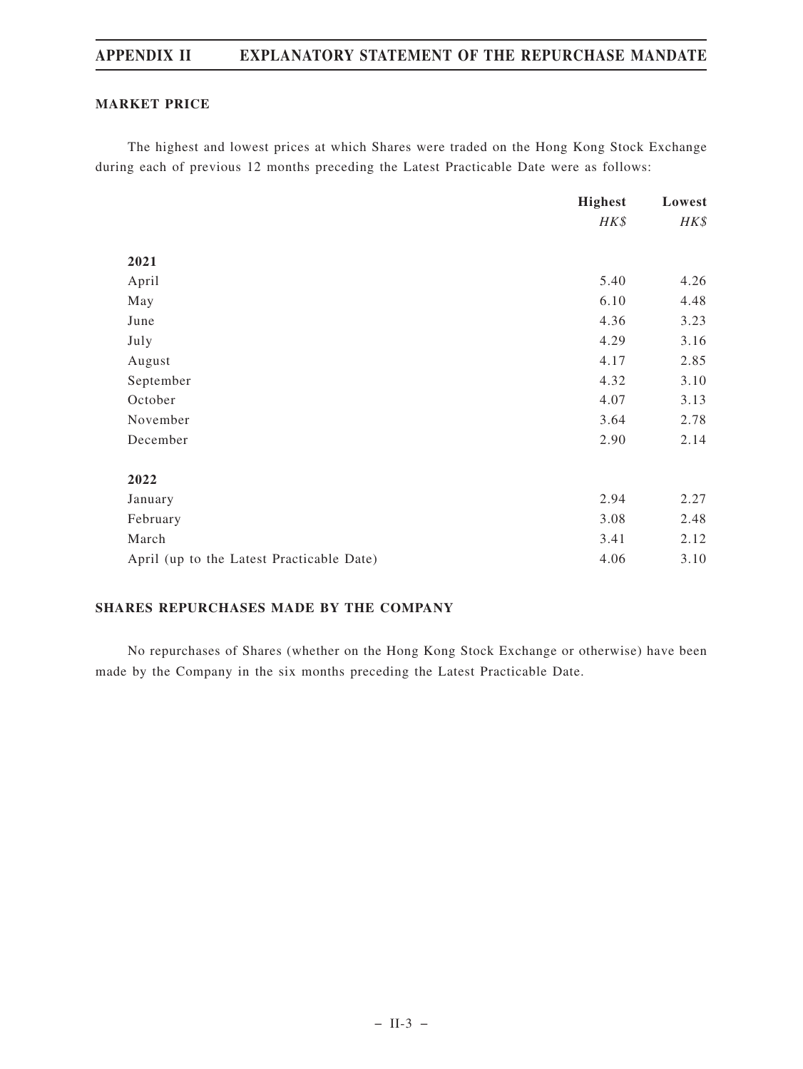# **APPENDIX II EXPLANATORY STATEMENT OF THE REPURCHASE MANDATE**

### **MARKET PRICE**

The highest and lowest prices at which Shares were traded on the Hong Kong Stock Exchange during each of previous 12 months preceding the Latest Practicable Date were as follows:

|                                           | <b>Highest</b> | Lowest |
|-------------------------------------------|----------------|--------|
|                                           | HK\$           | HK\$   |
|                                           |                |        |
| 2021                                      |                |        |
| April                                     | 5.40           | 4.26   |
| May                                       | 6.10           | 4.48   |
| June                                      | 4.36           | 3.23   |
| July                                      | 4.29           | 3.16   |
| August                                    | 4.17           | 2.85   |
| September                                 | 4.32           | 3.10   |
| October                                   | 4.07           | 3.13   |
| November                                  | 3.64           | 2.78   |
| December                                  | 2.90           | 2.14   |
|                                           |                |        |
| 2022                                      |                |        |
| January                                   | 2.94           | 2.27   |
| February                                  | 3.08           | 2.48   |
| March                                     | 3.41           | 2.12   |
| April (up to the Latest Practicable Date) | 4.06           | 3.10   |

# **SHARES REPURCHASES MADE BY THE COMPANY**

No repurchases of Shares (whether on the Hong Kong Stock Exchange or otherwise) have been made by the Company in the six months preceding the Latest Practicable Date.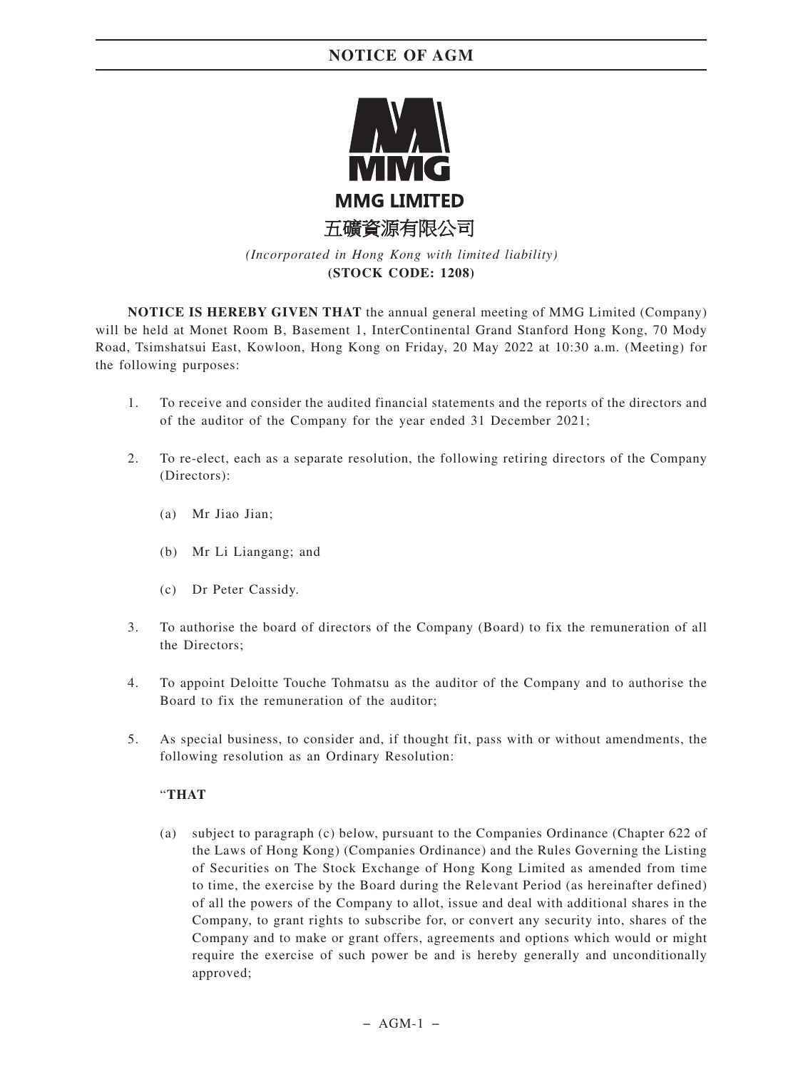

*(Incorporated in Hong Kong with limited liability)* **(STOCK CODE: 1208)**

**NOTICE IS HEREBY GIVEN THAT** the annual general meeting of MMG Limited (Company) will be held at Monet Room B, Basement 1, InterContinental Grand Stanford Hong Kong, 70 Mody Road, Tsimshatsui East, Kowloon, Hong Kong on Friday, 20 May 2022 at 10:30 a.m. (Meeting) for the following purposes:

- 1. To receive and consider the audited financial statements and the reports of the directors and of the auditor of the Company for the year ended 31 December 2021;
- 2. To re-elect, each as a separate resolution, the following retiring directors of the Company (Directors):
	- (a) Mr Jiao Jian;
	- (b) Mr Li Liangang; and
	- (c) Dr Peter Cassidy.
- 3. To authorise the board of directors of the Company (Board) to fix the remuneration of all the Directors;
- 4. To appoint Deloitte Touche Tohmatsu as the auditor of the Company and to authorise the Board to fix the remuneration of the auditor;
- 5. As special business, to consider and, if thought fit, pass with or without amendments, the following resolution as an Ordinary Resolution:

### "**THAT**

(a) subject to paragraph (c) below, pursuant to the Companies Ordinance (Chapter 622 of the Laws of Hong Kong) (Companies Ordinance) and the Rules Governing the Listing of Securities on The Stock Exchange of Hong Kong Limited as amended from time to time, the exercise by the Board during the Relevant Period (as hereinafter defined) of all the powers of the Company to allot, issue and deal with additional shares in the Company, to grant rights to subscribe for, or convert any security into, shares of the Company and to make or grant offers, agreements and options which would or might require the exercise of such power be and is hereby generally and unconditionally approved;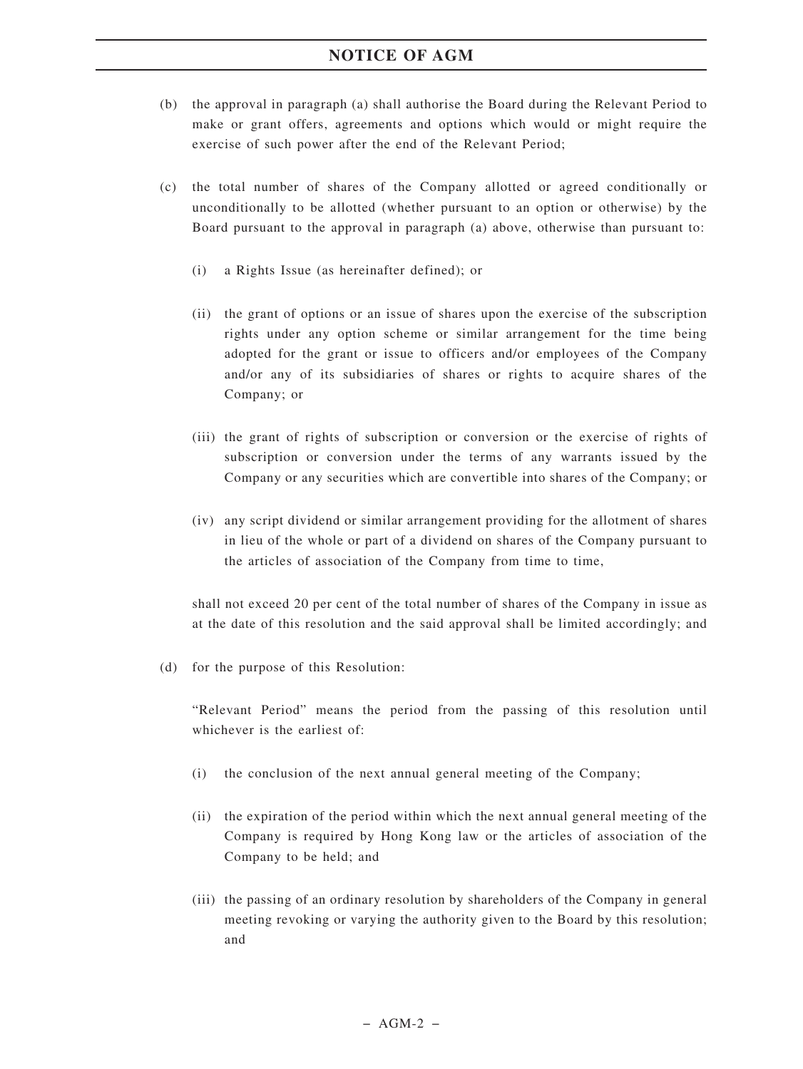- (b) the approval in paragraph (a) shall authorise the Board during the Relevant Period to make or grant offers, agreements and options which would or might require the exercise of such power after the end of the Relevant Period;
- (c) the total number of shares of the Company allotted or agreed conditionally or unconditionally to be allotted (whether pursuant to an option or otherwise) by the Board pursuant to the approval in paragraph (a) above, otherwise than pursuant to:
	- (i) a Rights Issue (as hereinafter defined); or
	- (ii) the grant of options or an issue of shares upon the exercise of the subscription rights under any option scheme or similar arrangement for the time being adopted for the grant or issue to officers and/or employees of the Company and/or any of its subsidiaries of shares or rights to acquire shares of the Company; or
	- (iii) the grant of rights of subscription or conversion or the exercise of rights of subscription or conversion under the terms of any warrants issued by the Company or any securities which are convertible into shares of the Company; or
	- (iv) any script dividend or similar arrangement providing for the allotment of shares in lieu of the whole or part of a dividend on shares of the Company pursuant to the articles of association of the Company from time to time,

shall not exceed 20 per cent of the total number of shares of the Company in issue as at the date of this resolution and the said approval shall be limited accordingly; and

(d) for the purpose of this Resolution:

"Relevant Period" means the period from the passing of this resolution until whichever is the earliest of:

- (i) the conclusion of the next annual general meeting of the Company;
- (ii) the expiration of the period within which the next annual general meeting of the Company is required by Hong Kong law or the articles of association of the Company to be held; and
- (iii) the passing of an ordinary resolution by shareholders of the Company in general meeting revoking or varying the authority given to the Board by this resolution; and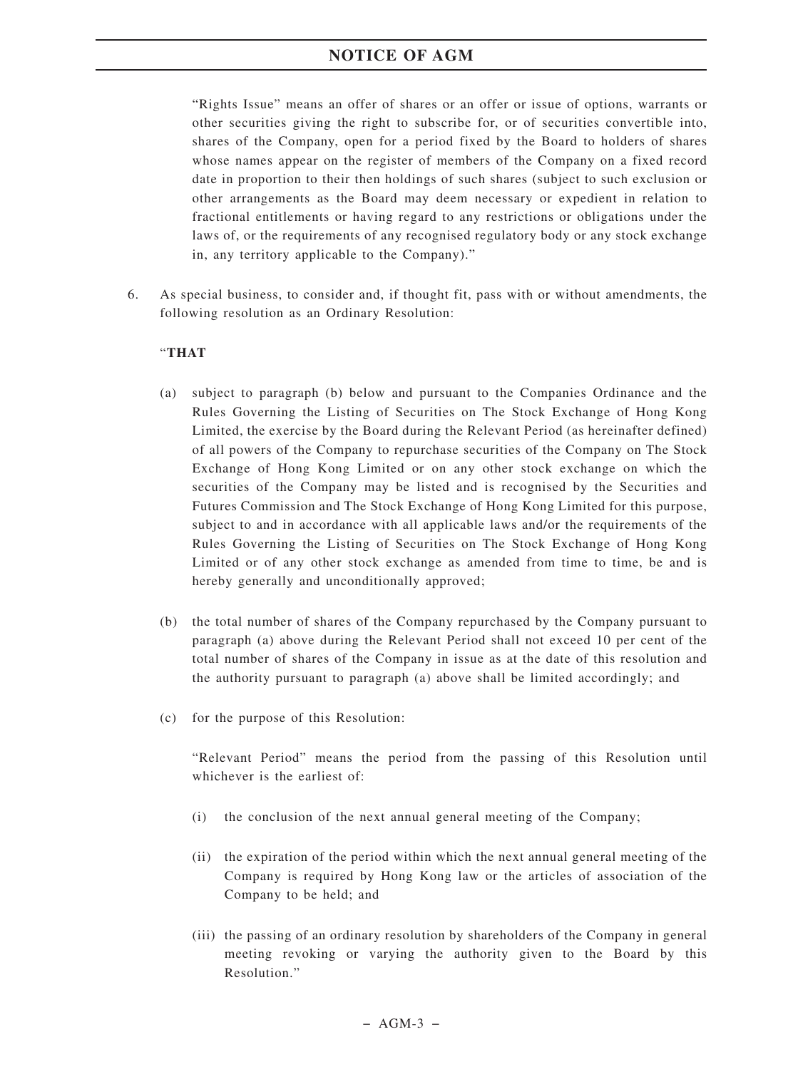"Rights Issue" means an offer of shares or an offer or issue of options, warrants or other securities giving the right to subscribe for, or of securities convertible into, shares of the Company, open for a period fixed by the Board to holders of shares whose names appear on the register of members of the Company on a fixed record date in proportion to their then holdings of such shares (subject to such exclusion or other arrangements as the Board may deem necessary or expedient in relation to fractional entitlements or having regard to any restrictions or obligations under the laws of, or the requirements of any recognised regulatory body or any stock exchange in, any territory applicable to the Company)."

6. As special business, to consider and, if thought fit, pass with or without amendments, the following resolution as an Ordinary Resolution:

### "**THAT**

- (a) subject to paragraph (b) below and pursuant to the Companies Ordinance and the Rules Governing the Listing of Securities on The Stock Exchange of Hong Kong Limited, the exercise by the Board during the Relevant Period (as hereinafter defined) of all powers of the Company to repurchase securities of the Company on The Stock Exchange of Hong Kong Limited or on any other stock exchange on which the securities of the Company may be listed and is recognised by the Securities and Futures Commission and The Stock Exchange of Hong Kong Limited for this purpose, subject to and in accordance with all applicable laws and/or the requirements of the Rules Governing the Listing of Securities on The Stock Exchange of Hong Kong Limited or of any other stock exchange as amended from time to time, be and is hereby generally and unconditionally approved;
- (b) the total number of shares of the Company repurchased by the Company pursuant to paragraph (a) above during the Relevant Period shall not exceed 10 per cent of the total number of shares of the Company in issue as at the date of this resolution and the authority pursuant to paragraph (a) above shall be limited accordingly; and
- (c) for the purpose of this Resolution:

"Relevant Period" means the period from the passing of this Resolution until whichever is the earliest of:

- (i) the conclusion of the next annual general meeting of the Company;
- (ii) the expiration of the period within which the next annual general meeting of the Company is required by Hong Kong law or the articles of association of the Company to be held; and
- (iii) the passing of an ordinary resolution by shareholders of the Company in general meeting revoking or varying the authority given to the Board by this Resolution."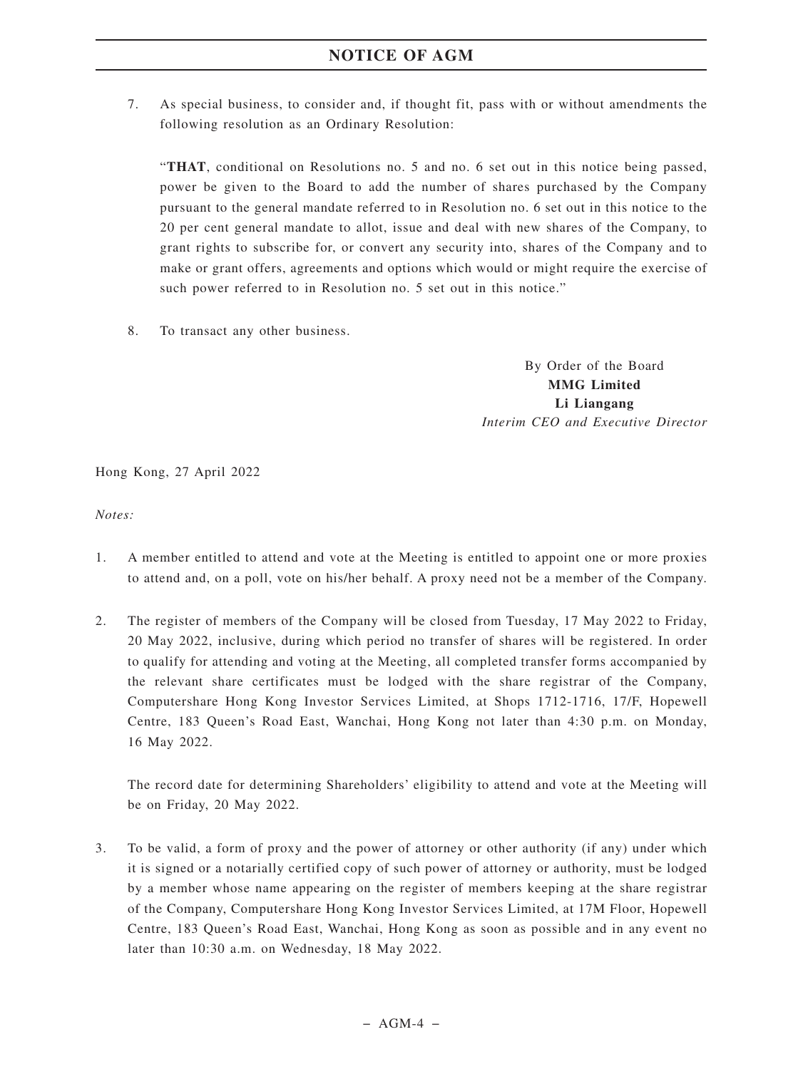7. As special business, to consider and, if thought fit, pass with or without amendments the following resolution as an Ordinary Resolution:

"**THAT**, conditional on Resolutions no. 5 and no. 6 set out in this notice being passed, power be given to the Board to add the number of shares purchased by the Company pursuant to the general mandate referred to in Resolution no. 6 set out in this notice to the 20 per cent general mandate to allot, issue and deal with new shares of the Company, to grant rights to subscribe for, or convert any security into, shares of the Company and to make or grant offers, agreements and options which would or might require the exercise of such power referred to in Resolution no. 5 set out in this notice."

8. To transact any other business.

By Order of the Board **MMG Limited Li Liangang** *Interim CEO and Executive Director*

Hong Kong, 27 April 2022

*Notes:*

- 1. A member entitled to attend and vote at the Meeting is entitled to appoint one or more proxies to attend and, on a poll, vote on his/her behalf. A proxy need not be a member of the Company.
- 2. The register of members of the Company will be closed from Tuesday, 17 May 2022 to Friday, 20 May 2022, inclusive, during which period no transfer of shares will be registered. In order to qualify for attending and voting at the Meeting, all completed transfer forms accompanied by the relevant share certificates must be lodged with the share registrar of the Company, Computershare Hong Kong Investor Services Limited, at Shops 1712-1716, 17/F, Hopewell Centre, 183 Queen's Road East, Wanchai, Hong Kong not later than 4:30 p.m. on Monday, 16 May 2022.

The record date for determining Shareholders' eligibility to attend and vote at the Meeting will be on Friday, 20 May 2022.

3. To be valid, a form of proxy and the power of attorney or other authority (if any) under which it is signed or a notarially certified copy of such power of attorney or authority, must be lodged by a member whose name appearing on the register of members keeping at the share registrar of the Company, Computershare Hong Kong Investor Services Limited, at 17M Floor, Hopewell Centre, 183 Queen's Road East, Wanchai, Hong Kong as soon as possible and in any event no later than 10:30 a.m. on Wednesday, 18 May 2022.